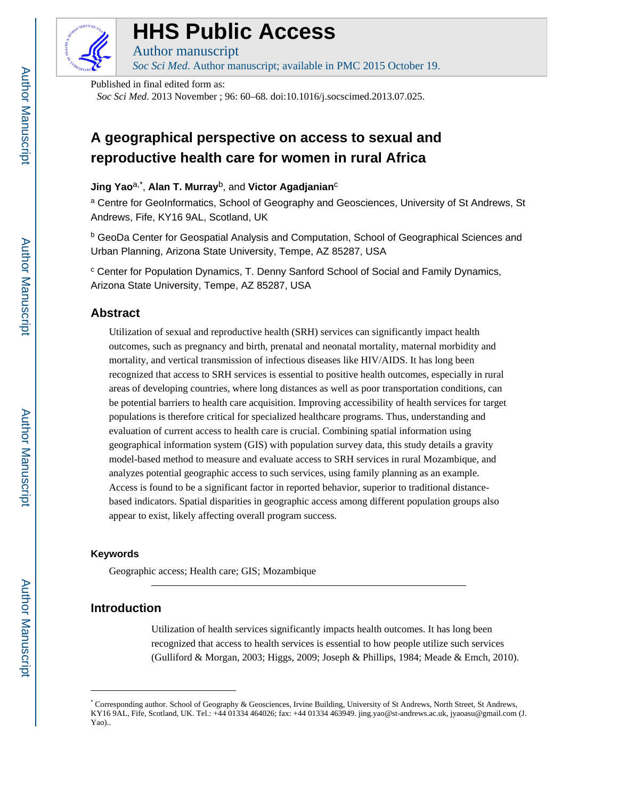

# **HHS Public Access**

Author manuscript *Soc Sci Med*. Author manuscript; available in PMC 2015 October 19.

Published in final edited form as:

*Soc Sci Med*. 2013 November ; 96: 60–68. doi:10.1016/j.socscimed.2013.07.025.

# **A geographical perspective on access to sexual and reproductive health care for women in rural Africa**

# **Jing Yao**a,\* , **Alan T. Murray**b, and **Victor Agadjanian**<sup>c</sup>

<sup>a</sup> Centre for GeoInformatics, School of Geography and Geosciences, University of St Andrews, St Andrews, Fife, KY16 9AL, Scotland, UK

**b GeoDa Center for Geospatial Analysis and Computation, School of Geographical Sciences and** Urban Planning, Arizona State University, Tempe, AZ 85287, USA

<sup>c</sup> Center for Population Dynamics, T. Denny Sanford School of Social and Family Dynamics, Arizona State University, Tempe, AZ 85287, USA

# **Abstract**

Utilization of sexual and reproductive health (SRH) services can significantly impact health outcomes, such as pregnancy and birth, prenatal and neonatal mortality, maternal morbidity and mortality, and vertical transmission of infectious diseases like HIV/AIDS. It has long been recognized that access to SRH services is essential to positive health outcomes, especially in rural areas of developing countries, where long distances as well as poor transportation conditions, can be potential barriers to health care acquisition. Improving accessibility of health services for target populations is therefore critical for specialized healthcare programs. Thus, understanding and evaluation of current access to health care is crucial. Combining spatial information using geographical information system (GIS) with population survey data, this study details a gravity model-based method to measure and evaluate access to SRH services in rural Mozambique, and analyzes potential geographic access to such services, using family planning as an example. Access is found to be a significant factor in reported behavior, superior to traditional distancebased indicators. Spatial disparities in geographic access among different population groups also appear to exist, likely affecting overall program success.

#### **Keywords**

Geographic access; Health care; GIS; Mozambique

# **Introduction**

Utilization of health services significantly impacts health outcomes. It has long been recognized that access to health services is essential to how people utilize such services (Gulliford & Morgan, 2003; Higgs, 2009; Joseph & Phillips, 1984; Meade & Emch, 2010).

<sup>\*</sup> Corresponding author. School of Geography & Geosciences, Irvine Building, University of St Andrews, North Street, St Andrews, KY16 9AL, Fife, Scotland, UK. Tel.: +44 01334 464026; fax: +44 01334 463949. jing.yao@st-andrews.ac.uk, jyaoasu@gmail.com (J. Yao)..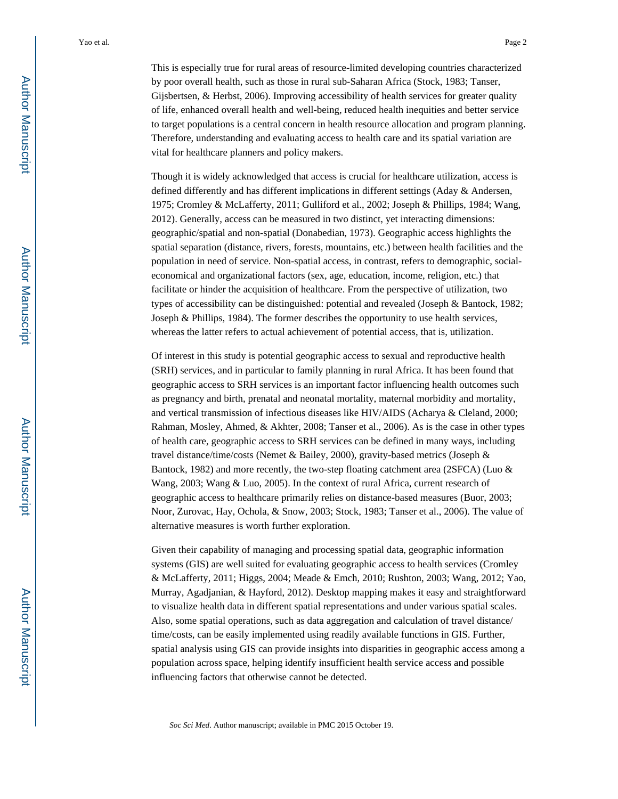This is especially true for rural areas of resource-limited developing countries characterized by poor overall health, such as those in rural sub-Saharan Africa (Stock, 1983; Tanser, Gijsbertsen, & Herbst, 2006). Improving accessibility of health services for greater quality of life, enhanced overall health and well-being, reduced health inequities and better service to target populations is a central concern in health resource allocation and program planning. Therefore, understanding and evaluating access to health care and its spatial variation are vital for healthcare planners and policy makers.

Though it is widely acknowledged that access is crucial for healthcare utilization, access is defined differently and has different implications in different settings (Aday & Andersen, 1975; Cromley & McLafferty, 2011; Gulliford et al., 2002; Joseph & Phillips, 1984; Wang, 2012). Generally, access can be measured in two distinct, yet interacting dimensions: geographic/spatial and non-spatial (Donabedian, 1973). Geographic access highlights the spatial separation (distance, rivers, forests, mountains, etc.) between health facilities and the population in need of service. Non-spatial access, in contrast, refers to demographic, socialeconomical and organizational factors (sex, age, education, income, religion, etc.) that facilitate or hinder the acquisition of healthcare. From the perspective of utilization, two types of accessibility can be distinguished: potential and revealed (Joseph & Bantock, 1982; Joseph & Phillips, 1984). The former describes the opportunity to use health services, whereas the latter refers to actual achievement of potential access, that is, utilization.

Of interest in this study is potential geographic access to sexual and reproductive health (SRH) services, and in particular to family planning in rural Africa. It has been found that geographic access to SRH services is an important factor influencing health outcomes such as pregnancy and birth, prenatal and neonatal mortality, maternal morbidity and mortality, and vertical transmission of infectious diseases like HIV/AIDS (Acharya & Cleland, 2000; Rahman, Mosley, Ahmed, & Akhter, 2008; Tanser et al., 2006). As is the case in other types of health care, geographic access to SRH services can be defined in many ways, including travel distance/time/costs (Nemet & Bailey, 2000), gravity-based metrics (Joseph & Bantock, 1982) and more recently, the two-step floating catchment area (2SFCA) (Luo & Wang, 2003; Wang & Luo, 2005). In the context of rural Africa, current research of geographic access to healthcare primarily relies on distance-based measures (Buor, 2003; Noor, Zurovac, Hay, Ochola, & Snow, 2003; Stock, 1983; Tanser et al., 2006). The value of alternative measures is worth further exploration.

Given their capability of managing and processing spatial data, geographic information systems (GIS) are well suited for evaluating geographic access to health services (Cromley & McLafferty, 2011; Higgs, 2004; Meade & Emch, 2010; Rushton, 2003; Wang, 2012; Yao, Murray, Agadjanian, & Hayford, 2012). Desktop mapping makes it easy and straightforward to visualize health data in different spatial representations and under various spatial scales. Also, some spatial operations, such as data aggregation and calculation of travel distance/ time/costs, can be easily implemented using readily available functions in GIS. Further, spatial analysis using GIS can provide insights into disparities in geographic access among a population across space, helping identify insufficient health service access and possible influencing factors that otherwise cannot be detected.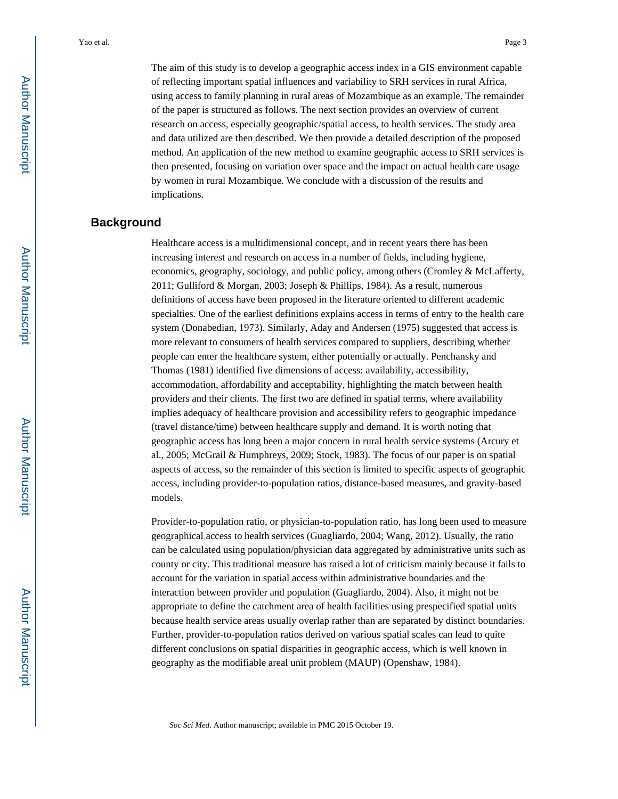The aim of this study is to develop a geographic access index in a GIS environment capable of reflecting important spatial influences and variability to SRH services in rural Africa, using access to family planning in rural areas of Mozambique as an example. The remainder of the paper is structured as follows. The next section provides an overview of current research on access, especially geographic/spatial access, to health services. The study area and data utilized are then described. We then provide a detailed description of the proposed method. An application of the new method to examine geographic access to SRH services is then presented, focusing on variation over space and the impact on actual health care usage by women in rural Mozambique. We conclude with a discussion of the results and implications.

# **Background**

Healthcare access is a multidimensional concept, and in recent years there has been increasing interest and research on access in a number of fields, including hygiene, economics, geography, sociology, and public policy, among others (Cromley & McLafferty, 2011; Gulliford & Morgan, 2003; Joseph & Phillips, 1984). As a result, numerous definitions of access have been proposed in the literature oriented to different academic specialties. One of the earliest definitions explains access in terms of entry to the health care system (Donabedian, 1973). Similarly, Aday and Andersen (1975) suggested that access is more relevant to consumers of health services compared to suppliers, describing whether people can enter the healthcare system, either potentially or actually. Penchansky and Thomas (1981) identified five dimensions of access: availability, accessibility, accommodation, affordability and acceptability, highlighting the match between health providers and their clients. The first two are defined in spatial terms, where availability implies adequacy of healthcare provision and accessibility refers to geographic impedance (travel distance/time) between healthcare supply and demand. It is worth noting that geographic access has long been a major concern in rural health service systems (Arcury et al., 2005; McGrail & Humphreys, 2009; Stock, 1983). The focus of our paper is on spatial aspects of access, so the remainder of this section is limited to specific aspects of geographic access, including provider-to-population ratios, distance-based measures, and gravity-based models.

Provider-to-population ratio, or physician-to-population ratio, has long been used to measure geographical access to health services (Guagliardo, 2004; Wang, 2012). Usually, the ratio can be calculated using population/physician data aggregated by administrative units such as county or city. This traditional measure has raised a lot of criticism mainly because it fails to account for the variation in spatial access within administrative boundaries and the interaction between provider and population (Guagliardo, 2004). Also, it might not be appropriate to define the catchment area of health facilities using prespecified spatial units because health service areas usually overlap rather than are separated by distinct boundaries. Further, provider-to-population ratios derived on various spatial scales can lead to quite different conclusions on spatial disparities in geographic access, which is well known in geography as the modifiable areal unit problem (MAUP) (Openshaw, 1984).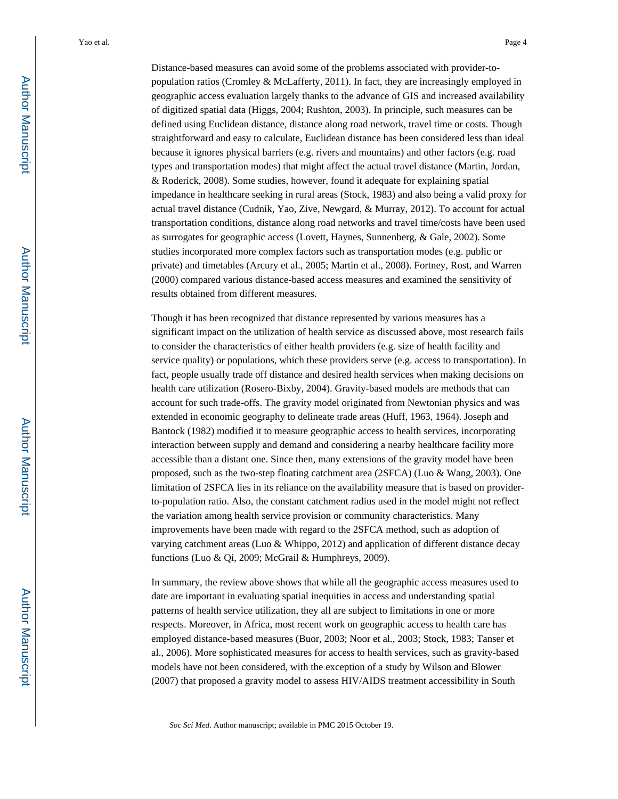Distance-based measures can avoid some of the problems associated with provider-topopulation ratios (Cromley & McLafferty, 2011). In fact, they are increasingly employed in geographic access evaluation largely thanks to the advance of GIS and increased availability of digitized spatial data (Higgs, 2004; Rushton, 2003). In principle, such measures can be defined using Euclidean distance, distance along road network, travel time or costs. Though straightforward and easy to calculate, Euclidean distance has been considered less than ideal because it ignores physical barriers (e.g. rivers and mountains) and other factors (e.g. road types and transportation modes) that might affect the actual travel distance (Martin, Jordan, & Roderick, 2008). Some studies, however, found it adequate for explaining spatial impedance in healthcare seeking in rural areas (Stock, 1983) and also being a valid proxy for actual travel distance (Cudnik, Yao, Zive, Newgard, & Murray, 2012). To account for actual transportation conditions, distance along road networks and travel time/costs have been used as surrogates for geographic access (Lovett, Haynes, Sunnenberg, & Gale, 2002). Some studies incorporated more complex factors such as transportation modes (e.g. public or private) and timetables (Arcury et al., 2005; Martin et al., 2008). Fortney, Rost, and Warren (2000) compared various distance-based access measures and examined the sensitivity of results obtained from different measures.

Though it has been recognized that distance represented by various measures has a significant impact on the utilization of health service as discussed above, most research fails to consider the characteristics of either health providers (e.g. size of health facility and service quality) or populations, which these providers serve (e.g. access to transportation). In fact, people usually trade off distance and desired health services when making decisions on health care utilization (Rosero-Bixby, 2004). Gravity-based models are methods that can account for such trade-offs. The gravity model originated from Newtonian physics and was extended in economic geography to delineate trade areas (Huff, 1963, 1964). Joseph and Bantock (1982) modified it to measure geographic access to health services, incorporating interaction between supply and demand and considering a nearby healthcare facility more accessible than a distant one. Since then, many extensions of the gravity model have been proposed, such as the two-step floating catchment area (2SFCA) (Luo & Wang, 2003). One limitation of 2SFCA lies in its reliance on the availability measure that is based on providerto-population ratio. Also, the constant catchment radius used in the model might not reflect the variation among health service provision or community characteristics. Many improvements have been made with regard to the 2SFCA method, such as adoption of varying catchment areas (Luo & Whippo, 2012) and application of different distance decay functions (Luo & Qi, 2009; McGrail & Humphreys, 2009).

In summary, the review above shows that while all the geographic access measures used to date are important in evaluating spatial inequities in access and understanding spatial patterns of health service utilization, they all are subject to limitations in one or more respects. Moreover, in Africa, most recent work on geographic access to health care has employed distance-based measures (Buor, 2003; Noor et al., 2003; Stock, 1983; Tanser et al., 2006). More sophisticated measures for access to health services, such as gravity-based models have not been considered, with the exception of a study by Wilson and Blower (2007) that proposed a gravity model to assess HIV/AIDS treatment accessibility in South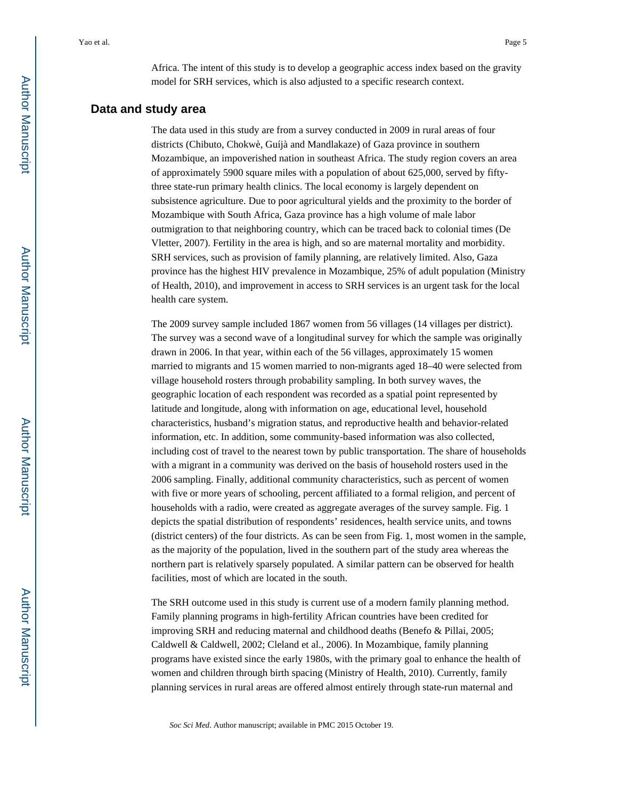Africa. The intent of this study is to develop a geographic access index based on the gravity model for SRH services, which is also adjusted to a specific research context.

#### **Data and study area**

The data used in this study are from a survey conducted in 2009 in rural areas of four districts (Chibuto, Chokwè, Guíjà and Mandlakaze) of Gaza province in southern Mozambique, an impoverished nation in southeast Africa. The study region covers an area of approximately 5900 square miles with a population of about 625,000, served by fiftythree state-run primary health clinics. The local economy is largely dependent on subsistence agriculture. Due to poor agricultural yields and the proximity to the border of Mozambique with South Africa, Gaza province has a high volume of male labor outmigration to that neighboring country, which can be traced back to colonial times (De Vletter, 2007). Fertility in the area is high, and so are maternal mortality and morbidity. SRH services, such as provision of family planning, are relatively limited. Also, Gaza province has the highest HIV prevalence in Mozambique, 25% of adult population (Ministry of Health, 2010), and improvement in access to SRH services is an urgent task for the local health care system.

The 2009 survey sample included 1867 women from 56 villages (14 villages per district). The survey was a second wave of a longitudinal survey for which the sample was originally drawn in 2006. In that year, within each of the 56 villages, approximately 15 women married to migrants and 15 women married to non-migrants aged 18–40 were selected from village household rosters through probability sampling. In both survey waves, the geographic location of each respondent was recorded as a spatial point represented by latitude and longitude, along with information on age, educational level, household characteristics, husband's migration status, and reproductive health and behavior-related information, etc. In addition, some community-based information was also collected, including cost of travel to the nearest town by public transportation. The share of households with a migrant in a community was derived on the basis of household rosters used in the 2006 sampling. Finally, additional community characteristics, such as percent of women with five or more years of schooling, percent affiliated to a formal religion, and percent of households with a radio, were created as aggregate averages of the survey sample. Fig. 1 depicts the spatial distribution of respondents' residences, health service units, and towns (district centers) of the four districts. As can be seen from Fig. 1, most women in the sample, as the majority of the population, lived in the southern part of the study area whereas the northern part is relatively sparsely populated. A similar pattern can be observed for health facilities, most of which are located in the south.

The SRH outcome used in this study is current use of a modern family planning method. Family planning programs in high-fertility African countries have been credited for improving SRH and reducing maternal and childhood deaths (Benefo & Pillai, 2005; Caldwell & Caldwell, 2002; Cleland et al., 2006). In Mozambique, family planning programs have existed since the early 1980s, with the primary goal to enhance the health of women and children through birth spacing (Ministry of Health, 2010). Currently, family planning services in rural areas are offered almost entirely through state-run maternal and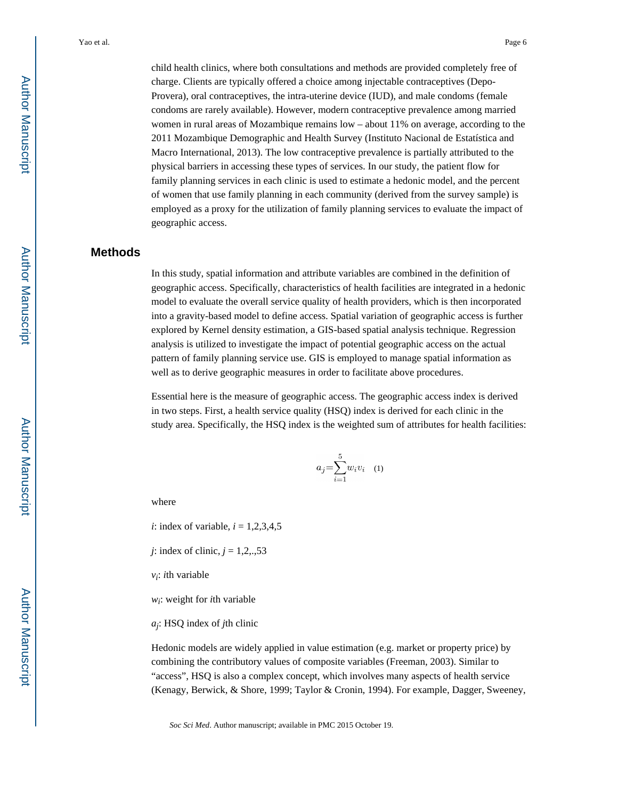child health clinics, where both consultations and methods are provided completely free of charge. Clients are typically offered a choice among injectable contraceptives (Depo-Provera), oral contraceptives, the intra-uterine device (IUD), and male condoms (female condoms are rarely available). However, modern contraceptive prevalence among married women in rural areas of Mozambique remains low – about 11% on average, according to the 2011 Mozambique Demographic and Health Survey (Instituto Nacional de Estatística and Macro International, 2013). The low contraceptive prevalence is partially attributed to the physical barriers in accessing these types of services. In our study, the patient flow for family planning services in each clinic is used to estimate a hedonic model, and the percent of women that use family planning in each community (derived from the survey sample) is employed as a proxy for the utilization of family planning services to evaluate the impact of geographic access.

# **Methods**

In this study, spatial information and attribute variables are combined in the definition of geographic access. Specifically, characteristics of health facilities are integrated in a hedonic model to evaluate the overall service quality of health providers, which is then incorporated into a gravity-based model to define access. Spatial variation of geographic access is further explored by Kernel density estimation, a GIS-based spatial analysis technique. Regression analysis is utilized to investigate the impact of potential geographic access on the actual pattern of family planning service use. GIS is employed to manage spatial information as well as to derive geographic measures in order to facilitate above procedures.

Essential here is the measure of geographic access. The geographic access index is derived in two steps. First, a health service quality (HSQ) index is derived for each clinic in the study area. Specifically, the HSQ index is the weighted sum of attributes for health facilities:

$$
a_j = \sum_{i=1}^5 w_i v_i \quad (1)
$$

where

*i*: index of variable,  $i = 1,2,3,4,5$ 

*j*: index of clinic, *j* = 1,2,.,53

*vi* : *i*th variable

*wi* : weight for *i*th variable

*aj* : HSQ index of *j*th clinic

Hedonic models are widely applied in value estimation (e.g. market or property price) by combining the contributory values of composite variables (Freeman, 2003). Similar to "access", HSQ is also a complex concept, which involves many aspects of health service (Kenagy, Berwick, & Shore, 1999; Taylor & Cronin, 1994). For example, Dagger, Sweeney,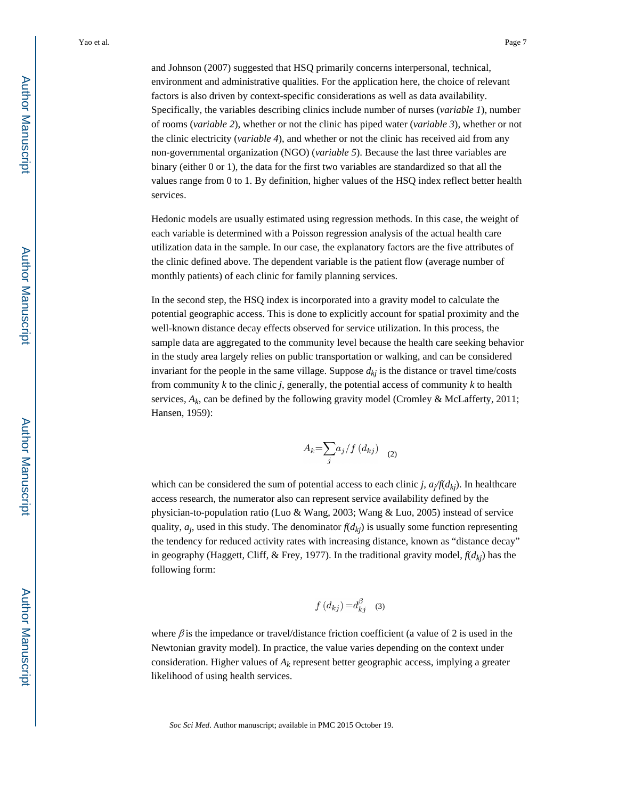and Johnson (2007) suggested that HSQ primarily concerns interpersonal, technical, environment and administrative qualities. For the application here, the choice of relevant factors is also driven by context-specific considerations as well as data availability. Specifically, the variables describing clinics include number of nurses (*variable 1*), number of rooms (*variable 2*), whether or not the clinic has piped water (*variable 3*), whether or not the clinic electricity (*variable 4*), and whether or not the clinic has received aid from any non-governmental organization (NGO) (*variable 5*). Because the last three variables are binary (either 0 or 1), the data for the first two variables are standardized so that all the values range from 0 to 1. By definition, higher values of the HSQ index reflect better health services.

Hedonic models are usually estimated using regression methods. In this case, the weight of each variable is determined with a Poisson regression analysis of the actual health care utilization data in the sample. In our case, the explanatory factors are the five attributes of the clinic defined above. The dependent variable is the patient flow (average number of monthly patients) of each clinic for family planning services.

In the second step, the HSQ index is incorporated into a gravity model to calculate the potential geographic access. This is done to explicitly account for spatial proximity and the well-known distance decay effects observed for service utilization. In this process, the sample data are aggregated to the community level because the health care seeking behavior in the study area largely relies on public transportation or walking, and can be considered invariant for the people in the same village. Suppose  $d_{ki}$  is the distance or travel time/costs from community *k* to the clinic *j*, generally, the potential access of community *k* to health services,  $A_k$ , can be defined by the following gravity model (Cromley & McLafferty, 2011; Hansen, 1959):

$$
A_k = \sum_j a_j / f(d_{kj}) \quad (2)
$$

which can be considered the sum of potential access to each clinic *j*, *a<sup>j</sup> /f*(*dkj*). In healthcare access research, the numerator also can represent service availability defined by the physician-to-population ratio (Luo & Wang, 2003; Wang & Luo, 2005) instead of service quality,  $a_j$ , used in this study. The denominator  $f(d_{kj})$  is usually some function representing the tendency for reduced activity rates with increasing distance, known as "distance decay" in geography (Haggett, Cliff, & Frey, 1977). In the traditional gravity model,  $f(d_{ki})$  has the following form:

$$
f(d_{kj}) = d_{ki}^{\beta} \quad (3)
$$

where  $\beta$  is the impedance or travel/distance friction coefficient (a value of 2 is used in the Newtonian gravity model). In practice, the value varies depending on the context under consideration. Higher values of  $A_k$  represent better geographic access, implying a greater likelihood of using health services.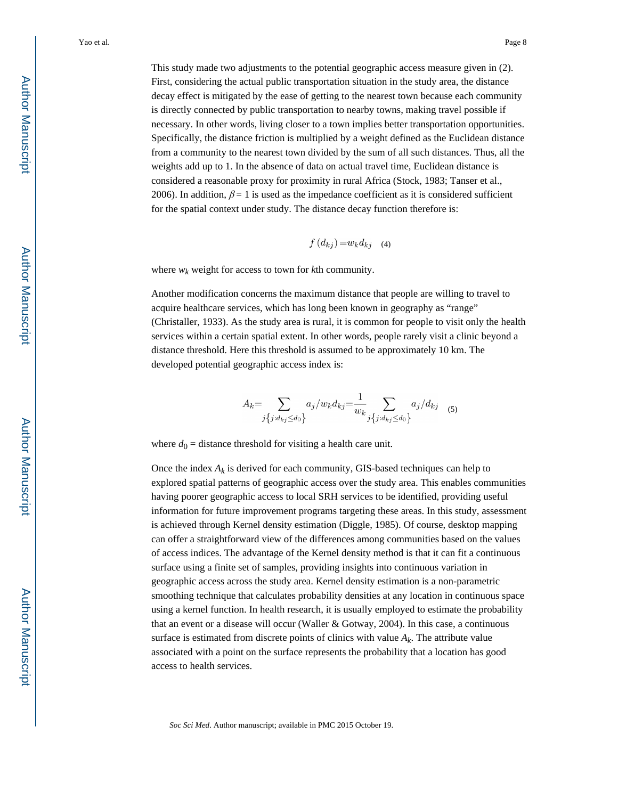This study made two adjustments to the potential geographic access measure given in (2). First, considering the actual public transportation situation in the study area, the distance decay effect is mitigated by the ease of getting to the nearest town because each community is directly connected by public transportation to nearby towns, making travel possible if necessary. In other words, living closer to a town implies better transportation opportunities. Specifically, the distance friction is multiplied by a weight defined as the Euclidean distance from a community to the nearest town divided by the sum of all such distances. Thus, all the weights add up to 1. In the absence of data on actual travel time, Euclidean distance is considered a reasonable proxy for proximity in rural Africa (Stock, 1983; Tanser et al., 2006). In addition,  $\beta = 1$  is used as the impedance coefficient as it is considered sufficient for the spatial context under study. The distance decay function therefore is:

$$
f(d_{kj}) = w_k d_{kj} \quad (4)
$$

where  $w_k$  weight for access to town for  $k$ th community.

Another modification concerns the maximum distance that people are willing to travel to acquire healthcare services, which has long been known in geography as "range" (Christaller, 1933). As the study area is rural, it is common for people to visit only the health services within a certain spatial extent. In other words, people rarely visit a clinic beyond a distance threshold. Here this threshold is assumed to be approximately 10 km. The developed potential geographic access index is:

$$
A_k = \sum_{j\{j:d_{kj}\le d_0\}} a_j/w_k d_{kj} = \frac{1}{w_k} \sum_{j\{j:d_{kj}\le d_0\}} a_j/d_{kj} \quad (5)
$$

where  $d_0$  = distance threshold for visiting a health care unit.

Once the index  $A_k$  is derived for each community, GIS-based techniques can help to explored spatial patterns of geographic access over the study area. This enables communities having poorer geographic access to local SRH services to be identified, providing useful information for future improvement programs targeting these areas. In this study, assessment is achieved through Kernel density estimation (Diggle, 1985). Of course, desktop mapping can offer a straightforward view of the differences among communities based on the values of access indices. The advantage of the Kernel density method is that it can fit a continuous surface using a finite set of samples, providing insights into continuous variation in geographic access across the study area. Kernel density estimation is a non-parametric smoothing technique that calculates probability densities at any location in continuous space using a kernel function. In health research, it is usually employed to estimate the probability that an event or a disease will occur (Waller & Gotway, 2004). In this case, a continuous surface is estimated from discrete points of clinics with value  $A_k$ . The attribute value associated with a point on the surface represents the probability that a location has good access to health services.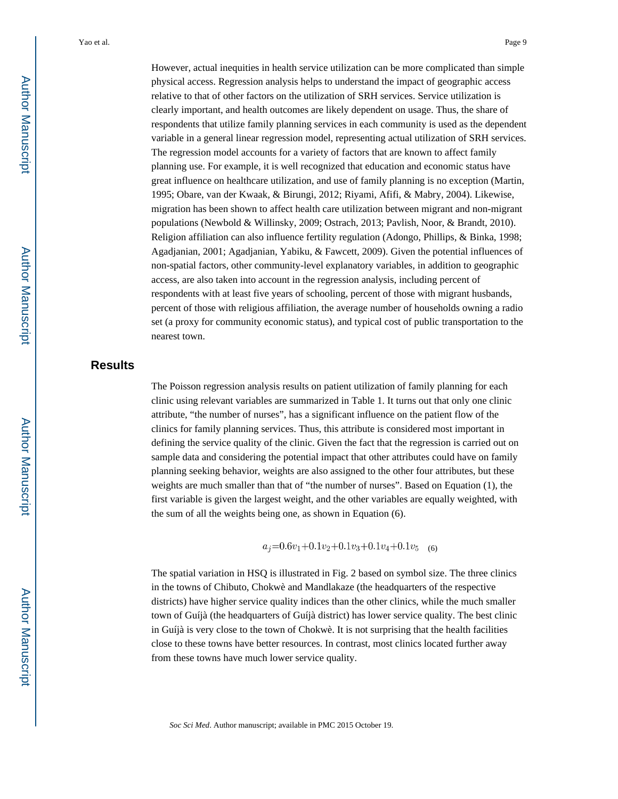However, actual inequities in health service utilization can be more complicated than simple physical access. Regression analysis helps to understand the impact of geographic access relative to that of other factors on the utilization of SRH services. Service utilization is clearly important, and health outcomes are likely dependent on usage. Thus, the share of respondents that utilize family planning services in each community is used as the dependent variable in a general linear regression model, representing actual utilization of SRH services. The regression model accounts for a variety of factors that are known to affect family planning use. For example, it is well recognized that education and economic status have great influence on healthcare utilization, and use of family planning is no exception (Martin, 1995; Obare, van der Kwaak, & Birungi, 2012; Riyami, Afifi, & Mabry, 2004). Likewise, migration has been shown to affect health care utilization between migrant and non-migrant populations (Newbold & Willinsky, 2009; Ostrach, 2013; Pavlish, Noor, & Brandt, 2010). Religion affiliation can also influence fertility regulation (Adongo, Phillips, & Binka, 1998; Agadjanian, 2001; Agadjanian, Yabiku, & Fawcett, 2009). Given the potential influences of non-spatial factors, other community-level explanatory variables, in addition to geographic access, are also taken into account in the regression analysis, including percent of respondents with at least five years of schooling, percent of those with migrant husbands, percent of those with religious affiliation, the average number of households owning a radio set (a proxy for community economic status), and typical cost of public transportation to the nearest town.

# **Results**

The Poisson regression analysis results on patient utilization of family planning for each clinic using relevant variables are summarized in Table 1. It turns out that only one clinic attribute, "the number of nurses", has a significant influence on the patient flow of the clinics for family planning services. Thus, this attribute is considered most important in defining the service quality of the clinic. Given the fact that the regression is carried out on sample data and considering the potential impact that other attributes could have on family planning seeking behavior, weights are also assigned to the other four attributes, but these weights are much smaller than that of "the number of nurses". Based on Equation (1), the first variable is given the largest weight, and the other variables are equally weighted, with the sum of all the weights being one, as shown in Equation (6).

 $a_i=0.6v_1+0.1v_2+0.1v_3+0.1v_4+0.1v_5$  (6)

The spatial variation in HSQ is illustrated in Fig. 2 based on symbol size. The three clinics in the towns of Chibuto, Chokwè and Mandlakaze (the headquarters of the respective districts) have higher service quality indices than the other clinics, while the much smaller town of Guíjà (the headquarters of Guíjà district) has lower service quality. The best clinic in Guíjà is very close to the town of Chokwè. It is not surprising that the health facilities close to these towns have better resources. In contrast, most clinics located further away from these towns have much lower service quality.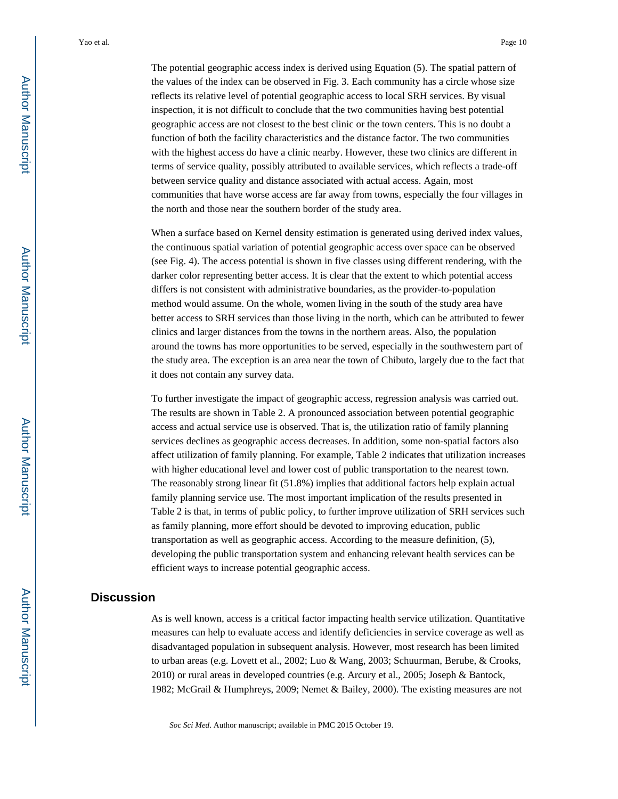The potential geographic access index is derived using Equation (5). The spatial pattern of the values of the index can be observed in Fig. 3. Each community has a circle whose size reflects its relative level of potential geographic access to local SRH services. By visual inspection, it is not difficult to conclude that the two communities having best potential geographic access are not closest to the best clinic or the town centers. This is no doubt a function of both the facility characteristics and the distance factor. The two communities with the highest access do have a clinic nearby. However, these two clinics are different in terms of service quality, possibly attributed to available services, which reflects a trade-off between service quality and distance associated with actual access. Again, most communities that have worse access are far away from towns, especially the four villages in the north and those near the southern border of the study area.

When a surface based on Kernel density estimation is generated using derived index values, the continuous spatial variation of potential geographic access over space can be observed (see Fig. 4). The access potential is shown in five classes using different rendering, with the darker color representing better access. It is clear that the extent to which potential access differs is not consistent with administrative boundaries, as the provider-to-population method would assume. On the whole, women living in the south of the study area have better access to SRH services than those living in the north, which can be attributed to fewer clinics and larger distances from the towns in the northern areas. Also, the population around the towns has more opportunities to be served, especially in the southwestern part of the study area. The exception is an area near the town of Chibuto, largely due to the fact that it does not contain any survey data.

To further investigate the impact of geographic access, regression analysis was carried out. The results are shown in Table 2. A pronounced association between potential geographic access and actual service use is observed. That is, the utilization ratio of family planning services declines as geographic access decreases. In addition, some non-spatial factors also affect utilization of family planning. For example, Table 2 indicates that utilization increases with higher educational level and lower cost of public transportation to the nearest town. The reasonably strong linear fit (51.8%) implies that additional factors help explain actual family planning service use. The most important implication of the results presented in Table 2 is that, in terms of public policy, to further improve utilization of SRH services such as family planning, more effort should be devoted to improving education, public transportation as well as geographic access. According to the measure definition, (5), developing the public transportation system and enhancing relevant health services can be efficient ways to increase potential geographic access.

### **Discussion**

As is well known, access is a critical factor impacting health service utilization. Quantitative measures can help to evaluate access and identify deficiencies in service coverage as well as disadvantaged population in subsequent analysis. However, most research has been limited to urban areas (e.g. Lovett et al., 2002; Luo & Wang, 2003; Schuurman, Berube, & Crooks, 2010) or rural areas in developed countries (e.g. Arcury et al., 2005; Joseph & Bantock, 1982; McGrail & Humphreys, 2009; Nemet & Bailey, 2000). The existing measures are not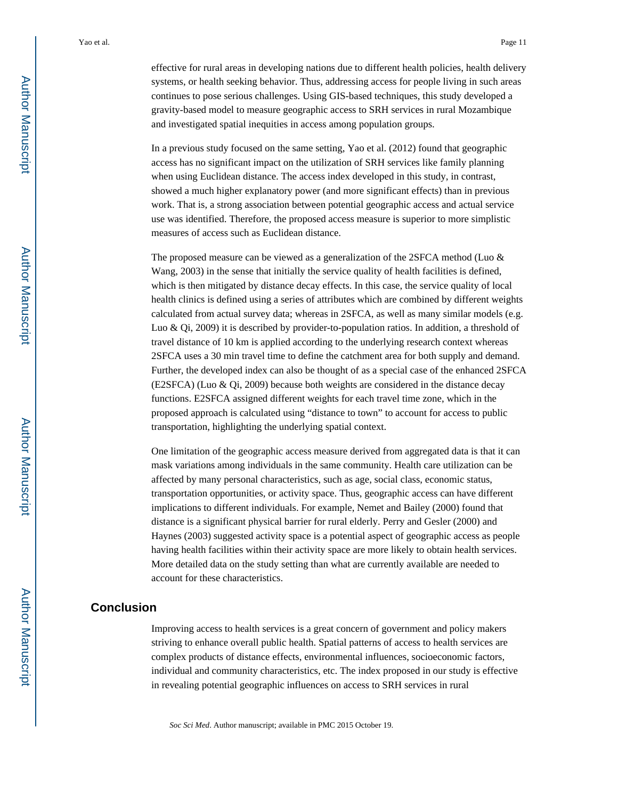effective for rural areas in developing nations due to different health policies, health delivery systems, or health seeking behavior. Thus, addressing access for people living in such areas continues to pose serious challenges. Using GIS-based techniques, this study developed a gravity-based model to measure geographic access to SRH services in rural Mozambique and investigated spatial inequities in access among population groups.

In a previous study focused on the same setting, Yao et al. (2012) found that geographic access has no significant impact on the utilization of SRH services like family planning when using Euclidean distance. The access index developed in this study, in contrast, showed a much higher explanatory power (and more significant effects) than in previous work. That is, a strong association between potential geographic access and actual service use was identified. Therefore, the proposed access measure is superior to more simplistic measures of access such as Euclidean distance.

The proposed measure can be viewed as a generalization of the 2SFCA method (Luo & Wang, 2003) in the sense that initially the service quality of health facilities is defined, which is then mitigated by distance decay effects. In this case, the service quality of local health clinics is defined using a series of attributes which are combined by different weights calculated from actual survey data; whereas in 2SFCA, as well as many similar models (e.g. Luo & Qi, 2009) it is described by provider-to-population ratios. In addition, a threshold of travel distance of 10 km is applied according to the underlying research context whereas 2SFCA uses a 30 min travel time to define the catchment area for both supply and demand. Further, the developed index can also be thought of as a special case of the enhanced 2SFCA (E2SFCA) (Luo & Qi, 2009) because both weights are considered in the distance decay functions. E2SFCA assigned different weights for each travel time zone, which in the proposed approach is calculated using "distance to town" to account for access to public transportation, highlighting the underlying spatial context.

One limitation of the geographic access measure derived from aggregated data is that it can mask variations among individuals in the same community. Health care utilization can be affected by many personal characteristics, such as age, social class, economic status, transportation opportunities, or activity space. Thus, geographic access can have different implications to different individuals. For example, Nemet and Bailey (2000) found that distance is a significant physical barrier for rural elderly. Perry and Gesler (2000) and Haynes (2003) suggested activity space is a potential aspect of geographic access as people having health facilities within their activity space are more likely to obtain health services. More detailed data on the study setting than what are currently available are needed to account for these characteristics.

#### **Conclusion**

Improving access to health services is a great concern of government and policy makers striving to enhance overall public health. Spatial patterns of access to health services are complex products of distance effects, environmental influences, socioeconomic factors, individual and community characteristics, etc. The index proposed in our study is effective in revealing potential geographic influences on access to SRH services in rural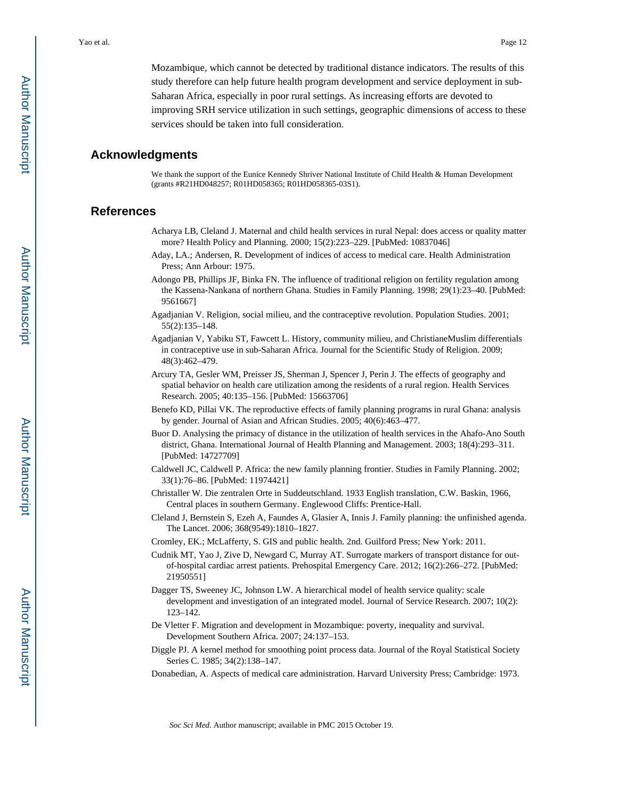Mozambique, which cannot be detected by traditional distance indicators. The results of this study therefore can help future health program development and service deployment in sub-Saharan Africa, especially in poor rural settings. As increasing efforts are devoted to improving SRH service utilization in such settings, geographic dimensions of access to these services should be taken into full consideration.

#### **Acknowledgments**

We thank the support of the Eunice Kennedy Shriver National Institute of Child Health & Human Development (grants #R21HD048257; R01HD058365; R01HD058365-03S1).

#### **References**

- Acharya LB, Cleland J. Maternal and child health services in rural Nepal: does access or quality matter more? Health Policy and Planning. 2000; 15(2):223–229. [PubMed: 10837046]
- Aday, LA.; Andersen, R. Development of indices of access to medical care. Health Administration Press; Ann Arbour: 1975.
- Adongo PB, Phillips JF, Binka FN. The influence of traditional religion on fertility regulation among the Kassena-Nankana of northern Ghana. Studies in Family Planning. 1998; 29(1):23–40. [PubMed: 9561667]
- Agadjanian V. Religion, social milieu, and the contraceptive revolution. Population Studies. 2001; 55(2):135–148.
- Agadjanian V, Yabiku ST, Fawcett L. History, community milieu, and ChristianeMuslim differentials in contraceptive use in sub-Saharan Africa. Journal for the Scientific Study of Religion. 2009; 48(3):462–479.
- Arcury TA, Gesler WM, Preisser JS, Sherman J, Spencer J, Perin J. The effects of geography and spatial behavior on health care utilization among the residents of a rural region. Health Services Research. 2005; 40:135–156. [PubMed: 15663706]
- Benefo KD, Pillai VK. The reproductive effects of family planning programs in rural Ghana: analysis by gender. Journal of Asian and African Studies. 2005; 40(6):463–477.
- Buor D. Analysing the primacy of distance in the utilization of health services in the Ahafo-Ano South district, Ghana. International Journal of Health Planning and Management. 2003; 18(4):293–311. [PubMed: 14727709]
- Caldwell JC, Caldwell P. Africa: the new family planning frontier. Studies in Family Planning. 2002; 33(1):76–86. [PubMed: 11974421]
- Christaller W. Die zentralen Orte in Suddeutschland. 1933 English translation, C.W. Baskin, 1966, Central places in southern Germany. Englewood Cliffs: Prentice-Hall.
- Cleland J, Bernstein S, Ezeh A, Faundes A, Glasier A, Innis J. Family planning: the unfinished agenda. The Lancet. 2006; 368(9549):1810–1827.
- Cromley, EK.; McLafferty, S. GIS and public health. 2nd. Guilford Press; New York: 2011.
- Cudnik MT, Yao J, Zive D, Newgard C, Murray AT. Surrogate markers of transport distance for outof-hospital cardiac arrest patients. Prehospital Emergency Care. 2012; 16(2):266–272. [PubMed: 21950551]
- Dagger TS, Sweeney JC, Johnson LW. A hierarchical model of health service quality: scale development and investigation of an integrated model. Journal of Service Research. 2007; 10(2): 123–142.
- De Vletter F. Migration and development in Mozambique: poverty, inequality and survival. Development Southern Africa. 2007; 24:137–153.
- Diggle PJ. A kernel method for smoothing point process data. Journal of the Royal Statistical Society Series C. 1985; 34(2):138–147.
- Donabedian, A. Aspects of medical care administration. Harvard University Press; Cambridge: 1973.

 Author ManuscriptAuthor Manuscript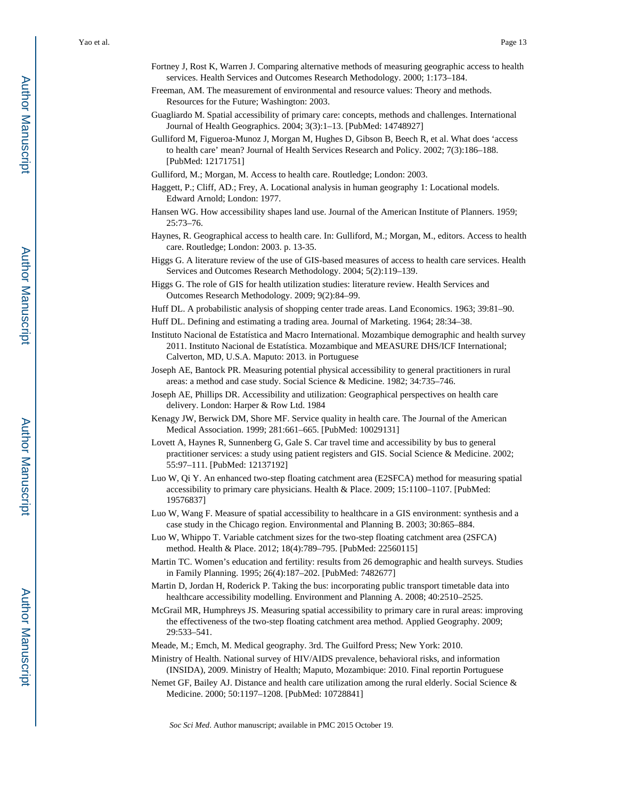- Fortney J, Rost K, Warren J. Comparing alternative methods of measuring geographic access to health services. Health Services and Outcomes Research Methodology. 2000; 1:173–184.
- Freeman, AM. The measurement of environmental and resource values: Theory and methods. Resources for the Future; Washington: 2003.
- Guagliardo M. Spatial accessibility of primary care: concepts, methods and challenges. International Journal of Health Geographics. 2004; 3(3):1–13. [PubMed: 14748927]
- Gulliford M, Figueroa-Munoz J, Morgan M, Hughes D, Gibson B, Beech R, et al. What does 'access to health care' mean? Journal of Health Services Research and Policy. 2002; 7(3):186–188. [PubMed: 12171751]
- Gulliford, M.; Morgan, M. Access to health care. Routledge; London: 2003.
- Haggett, P.; Cliff, AD.; Frey, A. Locational analysis in human geography 1: Locational models. Edward Arnold; London: 1977.
- Hansen WG. How accessibility shapes land use. Journal of the American Institute of Planners. 1959; 25:73–76.
- Haynes, R. Geographical access to health care. In: Gulliford, M.; Morgan, M., editors. Access to health care. Routledge; London: 2003. p. 13-35.
- Higgs G. A literature review of the use of GIS-based measures of access to health care services. Health Services and Outcomes Research Methodology. 2004; 5(2):119–139.
- Higgs G. The role of GIS for health utilization studies: literature review. Health Services and Outcomes Research Methodology. 2009; 9(2):84–99.
- Huff DL. A probabilistic analysis of shopping center trade areas. Land Economics. 1963; 39:81–90.
- Huff DL. Defining and estimating a trading area. Journal of Marketing. 1964; 28:34–38.
- Instituto Nacional de Estatística and Macro International. Mozambique demographic and health survey 2011. Instituto Nacional de Estatística. Mozambique and MEASURE DHS/ICF International; Calverton, MD, U.S.A. Maputo: 2013. in Portuguese
- Joseph AE, Bantock PR. Measuring potential physical accessibility to general practitioners in rural areas: a method and case study. Social Science & Medicine. 1982; 34:735–746.
- Joseph AE, Phillips DR. Accessibility and utilization: Geographical perspectives on health care delivery. London: Harper & Row Ltd. 1984
- Kenagy JW, Berwick DM, Shore MF. Service quality in health care. The Journal of the American Medical Association. 1999; 281:661–665. [PubMed: 10029131]
- Lovett A, Haynes R, Sunnenberg G, Gale S. Car travel time and accessibility by bus to general practitioner services: a study using patient registers and GIS. Social Science & Medicine. 2002; 55:97–111. [PubMed: 12137192]
- Luo W, Qi Y. An enhanced two-step floating catchment area (E2SFCA) method for measuring spatial accessibility to primary care physicians. Health & Place. 2009; 15:1100–1107. [PubMed: 19576837]
- Luo W, Wang F. Measure of spatial accessibility to healthcare in a GIS environment: synthesis and a case study in the Chicago region. Environmental and Planning B. 2003; 30:865–884.
- Luo W, Whippo T. Variable catchment sizes for the two-step floating catchment area (2SFCA) method. Health & Place. 2012; 18(4):789–795. [PubMed: 22560115]
- Martin TC. Women's education and fertility: results from 26 demographic and health surveys. Studies in Family Planning. 1995; 26(4):187–202. [PubMed: 7482677]
- Martin D, Jordan H, Roderick P. Taking the bus: incorporating public transport timetable data into healthcare accessibility modelling. Environment and Planning A. 2008; 40:2510–2525.
- McGrail MR, Humphreys JS. Measuring spatial accessibility to primary care in rural areas: improving the effectiveness of the two-step floating catchment area method. Applied Geography. 2009; 29:533–541.
- Meade, M.; Emch, M. Medical geography. 3rd. The Guilford Press; New York: 2010.
- Ministry of Health. National survey of HIV/AIDS prevalence, behavioral risks, and information (INSIDA), 2009. Ministry of Health; Maputo, Mozambique: 2010. Final reportin Portuguese
- Nemet GF, Bailey AJ. Distance and health care utilization among the rural elderly. Social Science & Medicine. 2000; 50:1197–1208. [PubMed: 10728841]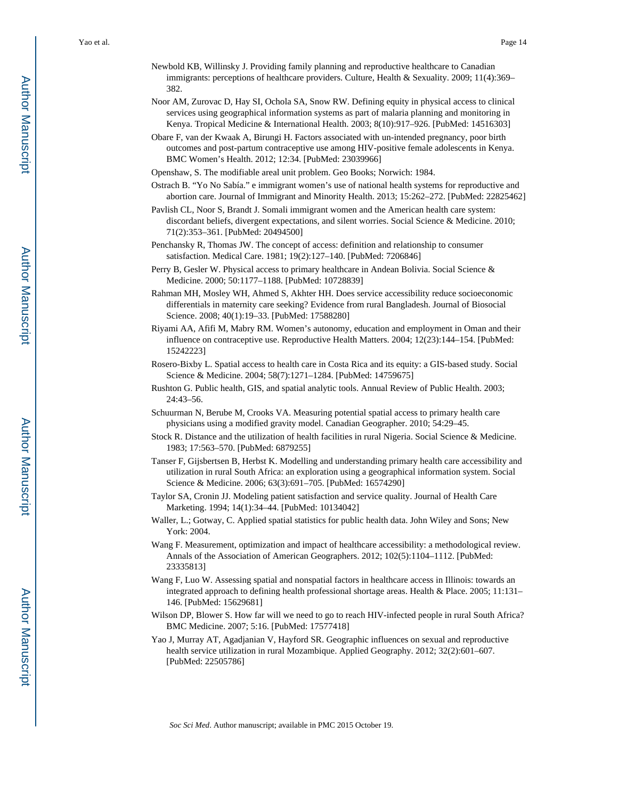- Newbold KB, Willinsky J. Providing family planning and reproductive healthcare to Canadian immigrants: perceptions of healthcare providers. Culture, Health & Sexuality. 2009; 11(4):369-382.
- Noor AM, Zurovac D, Hay SI, Ochola SA, Snow RW. Defining equity in physical access to clinical services using geographical information systems as part of malaria planning and monitoring in Kenya. Tropical Medicine & International Health. 2003; 8(10):917–926. [PubMed: 14516303]
- Obare F, van der Kwaak A, Birungi H. Factors associated with un-intended pregnancy, poor birth outcomes and post-partum contraceptive use among HIV-positive female adolescents in Kenya. BMC Women's Health. 2012; 12:34. [PubMed: 23039966]
- Openshaw, S. The modifiable areal unit problem. Geo Books; Norwich: 1984.
- Ostrach B. "Yo No Sabía." e immigrant women's use of national health systems for reproductive and abortion care. Journal of Immigrant and Minority Health. 2013; 15:262–272. [PubMed: 22825462]
- Pavlish CL, Noor S, Brandt J. Somali immigrant women and the American health care system: discordant beliefs, divergent expectations, and silent worries. Social Science & Medicine. 2010; 71(2):353–361. [PubMed: 20494500]
- Penchansky R, Thomas JW. The concept of access: definition and relationship to consumer satisfaction. Medical Care. 1981; 19(2):127–140. [PubMed: 7206846]
- Perry B, Gesler W. Physical access to primary healthcare in Andean Bolivia. Social Science & Medicine. 2000; 50:1177–1188. [PubMed: 10728839]
- Rahman MH, Mosley WH, Ahmed S, Akhter HH. Does service accessibility reduce socioeconomic differentials in maternity care seeking? Evidence from rural Bangladesh. Journal of Biosocial Science. 2008; 40(1):19–33. [PubMed: 17588280]
- Riyami AA, Afifi M, Mabry RM. Women's autonomy, education and employment in Oman and their influence on contraceptive use. Reproductive Health Matters. 2004; 12(23):144–154. [PubMed: 15242223]
- Rosero-Bixby L. Spatial access to health care in Costa Rica and its equity: a GIS-based study. Social Science & Medicine. 2004; 58(7):1271–1284. [PubMed: 14759675]
- Rushton G. Public health, GIS, and spatial analytic tools. Annual Review of Public Health. 2003; 24:43–56.
- Schuurman N, Berube M, Crooks VA. Measuring potential spatial access to primary health care physicians using a modified gravity model. Canadian Geographer. 2010; 54:29–45.
- Stock R. Distance and the utilization of health facilities in rural Nigeria. Social Science & Medicine. 1983; 17:563–570. [PubMed: 6879255]
- Tanser F, Gijsbertsen B, Herbst K. Modelling and understanding primary health care accessibility and utilization in rural South Africa: an exploration using a geographical information system. Social Science & Medicine. 2006; 63(3):691–705. [PubMed: 16574290]
- Taylor SA, Cronin JJ. Modeling patient satisfaction and service quality. Journal of Health Care Marketing. 1994; 14(1):34–44. [PubMed: 10134042]
- Waller, L.; Gotway, C. Applied spatial statistics for public health data. John Wiley and Sons; New York: 2004.
- Wang F. Measurement, optimization and impact of healthcare accessibility: a methodological review. Annals of the Association of American Geographers. 2012; 102(5):1104–1112. [PubMed: 23335813]
- Wang F, Luo W. Assessing spatial and nonspatial factors in healthcare access in Illinois: towards an integrated approach to defining health professional shortage areas. Health & Place. 2005; 11:131– 146. [PubMed: 15629681]
- Wilson DP, Blower S. How far will we need to go to reach HIV-infected people in rural South Africa? BMC Medicine. 2007; 5:16. [PubMed: 17577418]
- Yao J, Murray AT, Agadjanian V, Hayford SR. Geographic influences on sexual and reproductive health service utilization in rural Mozambique. Applied Geography. 2012; 32(2):601–607. [PubMed: 22505786]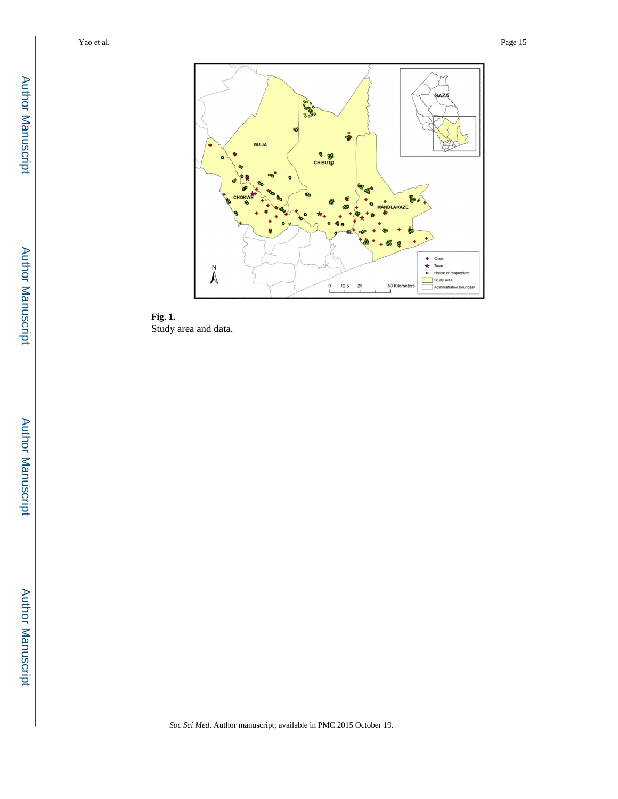

**Fig. 1.**  Study area and data.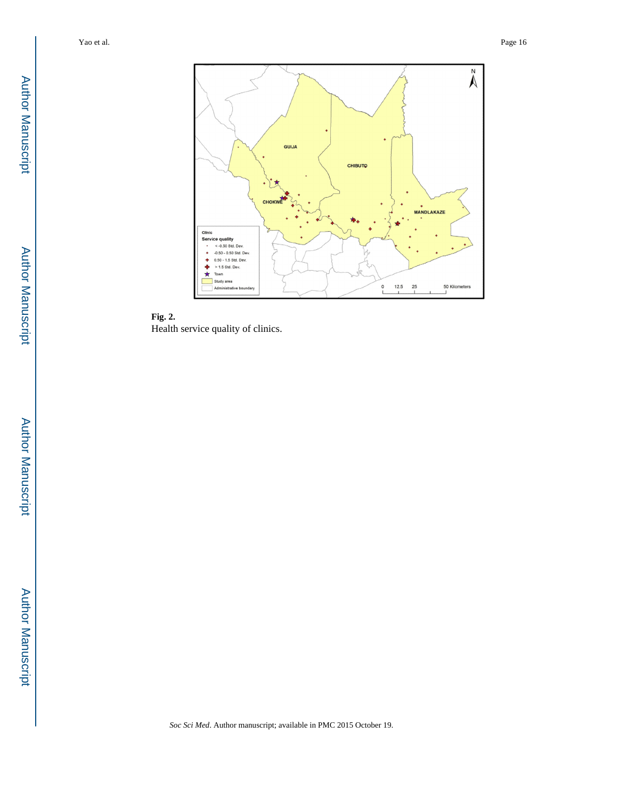

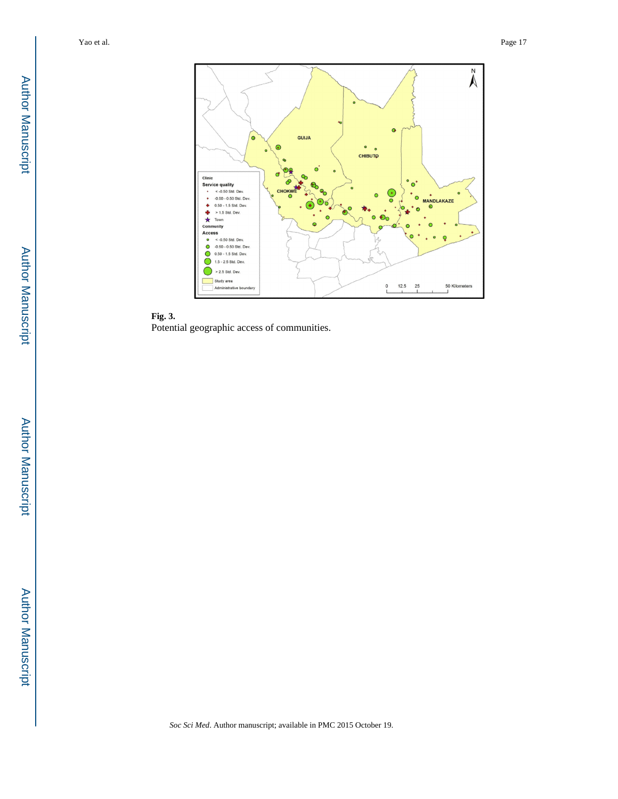

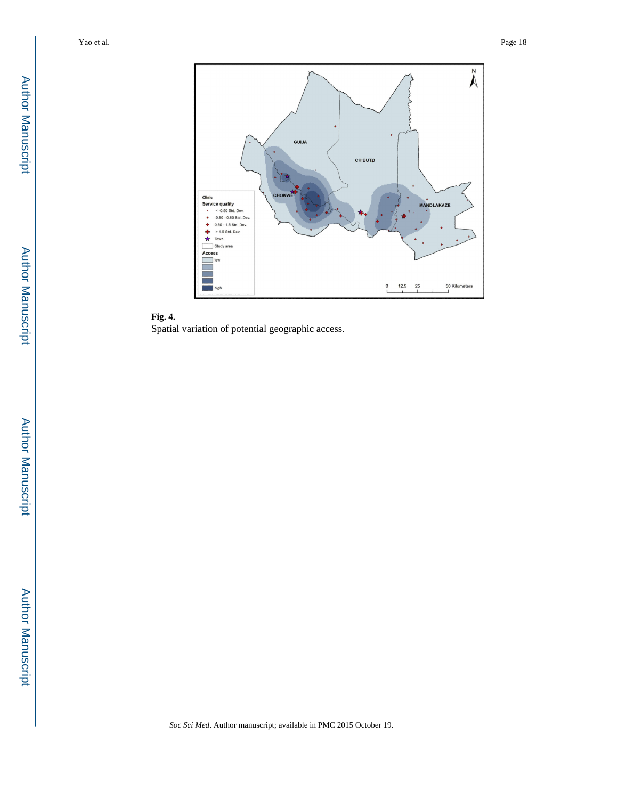

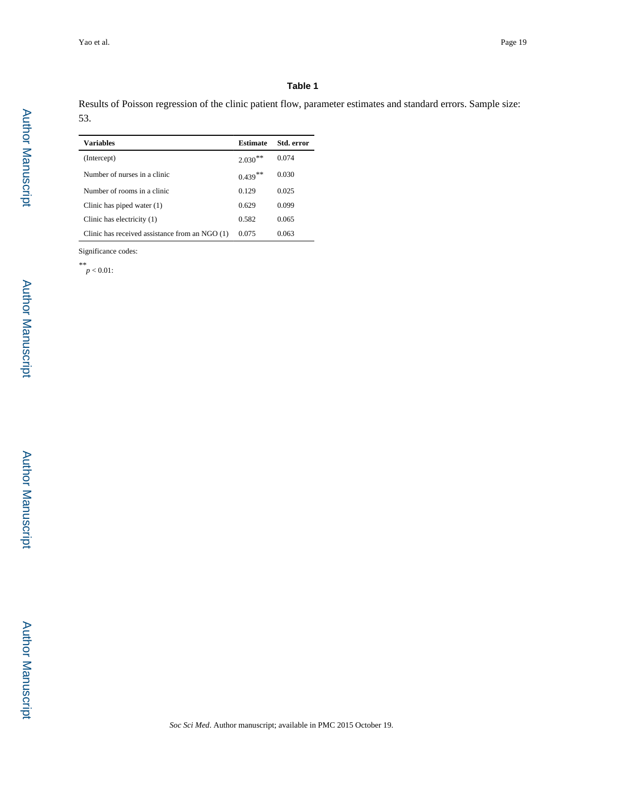#### **Table 1**

Results of Poisson regression of the clinic patient flow, parameter estimates and standard errors. Sample size: 53.

| <b>Variables</b>                               | Estimate   | Std. error |
|------------------------------------------------|------------|------------|
| (Intercept)                                    | $2.030**$  | 0.074      |
| Number of nurses in a clinic                   | $0.439***$ | 0.030      |
| Number of rooms in a clinic                    | 0.129      | 0.025      |
| Clinic has piped water $(1)$                   | 0.629      | 0.099      |
| Clinic has electricity (1)                     | 0.582      | 0.065      |
| Clinic has received assistance from an NGO (1) | 0.075      | 0.063      |

Significance codes:

*\*\* p* < 0.01: